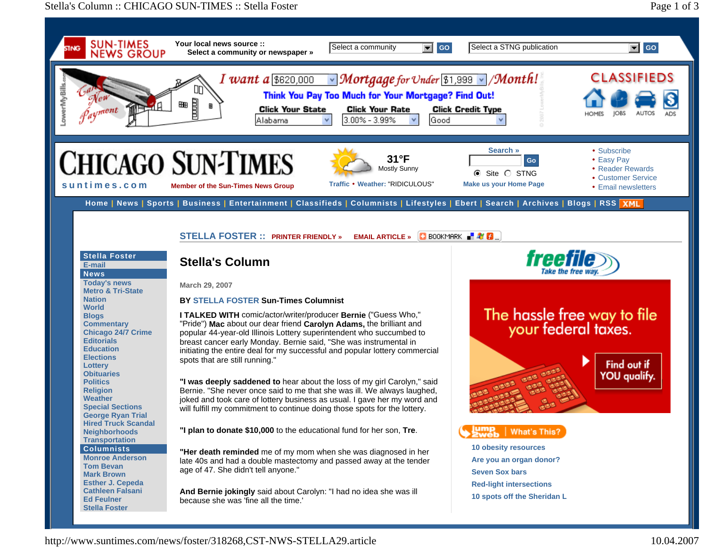## Stella's Column :: CHICAGO SUN-TIMES :: Stella Foster



http://www.suntimes.com/news/foster/318268,CST-NWS-STELLA29.article 10.04.2007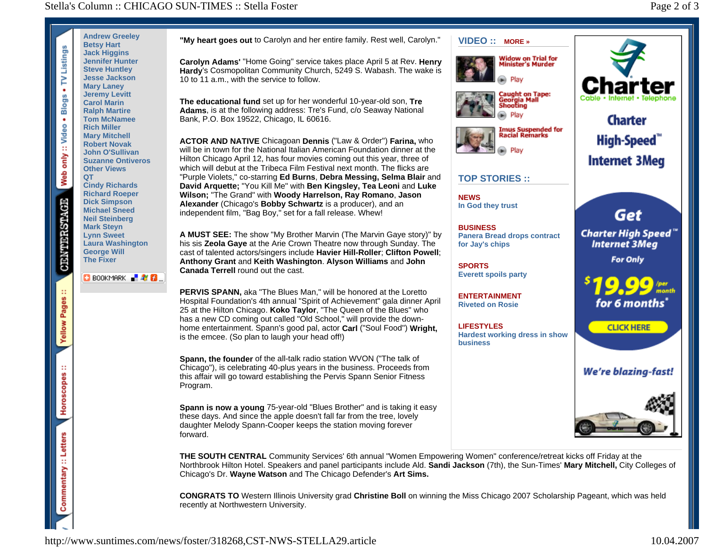

**"My heart goes out** to Carolyn and her entire family. Rest well, Carolyn."

**Carolyn Adams'** "Home Going" service takes place April 5 at Rev. **Henry Hardy**'s Cosmopolitan Community Church, 5249 S. Wabash. The wake is 10 to 11 a.m., with the service to follow.

**The educational fund** set up for her wonderful 10-year-old son, **Tre Adams**, is at the following address: Tre's Fund, c/o Seaway National Bank, P.O. Box 19522, Chicago, IL 60616.

**ACTOR AND NATIVE** Chicagoan **Dennis** ("Law & Order") **Farina,** who will be in town for the National Italian American Foundation dinner at the Hilton Chicago April 12, has four movies coming out this year, three of which will debut at the Tribeca Film Festival next month. The flicks are "Purple Violets," co-starring **Ed Burns**, **Debra Messing, Selma Blair** and **David Arquette;** "You Kill Me" with **Ben Kingsley, Tea Leoni** and **Luke Wilson;** "The Grand" with **Woody Harrelson, Ray Romano**, **Jason Alexander** (Chicago's **Bobby Schwartz** is a producer), and an independent film, "Bag Boy," set for a fall release. Whew!

**A MUST SEE:** The show "My Brother Marvin (The Marvin Gaye story)" by his sis **Zeola Gaye** at the Arie Crown Theatre now through Sunday. The cast of talented actors/singers include **Havier Hill-Roller**; **Clifton Powell**; **Anthony Grant** and **Keith Washington**. **Alyson Williams** and **John Canada Terrell** round out the cast.

**PERVIS SPANN,** aka "The Blues Man," will be honored at the Loretto Hospital Foundation's 4th annual "Spirit of Achievement" gala dinner April 25 at the Hilton Chicago. **Koko Taylor**, "The Queen of the Blues" who has a new CD coming out called "Old School," will provide the downhome entertainment. Spann's good pal, actor **Carl** ("Soul Food") **Wright,** is the emcee. (So plan to laugh your head off!)

**Spann, the founder** of the all-talk radio station WVON ("The talk of Chicago"), is celebrating 40-plus years in the business. Proceeds from this affair will go toward establishing the Pervis Spann Senior Fitness Program.

**Spann is now a young** 75-year-old "Blues Brother" and is taking it easy these days. And since the apple doesn't fall far from the tree, lovely daughter Melody Spann-Cooper keeps the station moving forever forward.



**VIDEO :: MORE »**





## **TOP STORIES ::**

**NEWS In God they trust**

**BUSINESS Panera Bread drops contract for Jay's chips** 

**SPORTS Everett spoils party** 

**ENTERTAINMENT Riveted on Rosie** 

**LIFESTYLES Hardest working dress in show business** 



Get

**Internet 3Meg** 

**Charter High Speed Internet 3Meg** 

**For Only** 



**CLICK HERE** 

**We're blazing-fast!** 



**THE SOUTH CENTRAL** Community Services' 6th annual "Women Empowering Women" conference/retreat kicks off Friday at the Northbrook Hilton Hotel. Speakers and panel participants include Ald. **Sandi Jackson** (7th), the Sun-Times' **Mary Mitchell,** City Colleges of Chicago's Dr. **Wayne Watson** and The Chicago Defender's **Art Sims.**

**CONGRATS TO** Western Illinois University grad **Christine Boll** on winning the Miss Chicago 2007 Scholarship Pageant, which was held recently at Northwestern University.